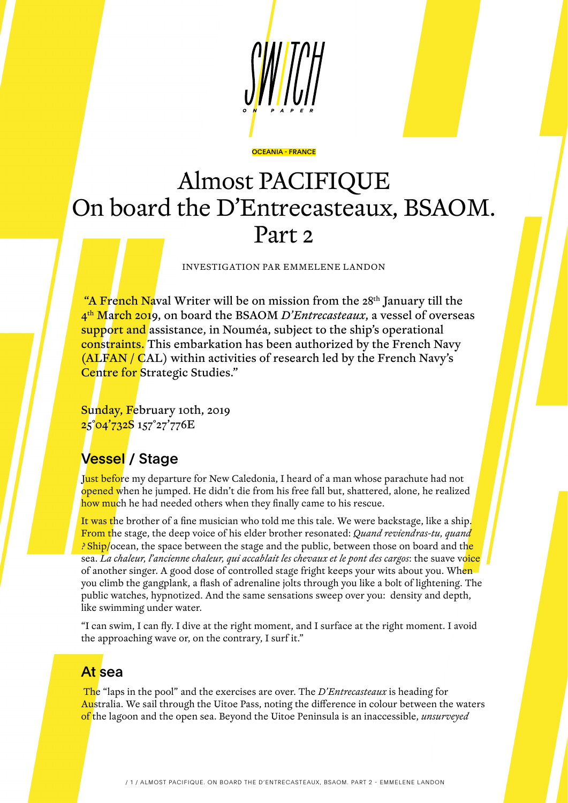

#### OCEANIA - FRANCE

# Almost PACIFIQUE On board the D'Entrecasteaux, BSAOM. Part 2

INVESTIGATION PAR EMMELENE LANDON

"A French Naval Writer will be on mission from the 28<sup>th</sup> January till the 4th March 2019, on board the BSAOM *D'Entrecasteaux*, a vessel of overseas support and assistance, in Nouméa, subject to the ship's operational constraints. This embarkation has been authorized by the French Navy (ALFAN / CAL) within activities of research led by the French Navy's Centre for Strategic Studies."

Sunday, February 10th, 2019 25°04'732S 157°27'776E

### Vessel / Stage

Just before my departure for New Caledonia, I heard of a man whose parachute had not opened when he jumped. He didn't die from his free fall but, shattered, alone, he realized how much he had needed others when they finally came to his rescue.

It was the brother of a fine musician who told me this tale. We were backstage, like a ship. From the stage, the deep voice of his elder brother resonated: *Quand reviendras-tu, quand ?* Ship/ocean, the space between the stage and the public, between those on board and the sea. *La chaleur, l'ancienne chaleur, qui accablait les chevaux et le pont des cargos*: the suave voice of another singer. A good dose of controlled stage fright keeps your wits about you. When you climb the gangplank, a flash of adrenaline jolts through you like a bolt of lightening. The public watches, hypnotized. And the same sensations sweep over you: density and depth, like swimming under water.

"I can swim, I can fly. I dive at the right moment, and I surface at the right moment. I avoid the approaching wave or, on the contrary, I surf it."

### At sea

 The "laps in the pool" and the exercises are over. The *D'Entrecasteaux* is heading for Australia. We sail through the Uitoe Pass, noting the difference in colour between the waters of the lagoon and the open sea. Beyond the Uitoe Peninsula is an inaccessible, *unsurveyed*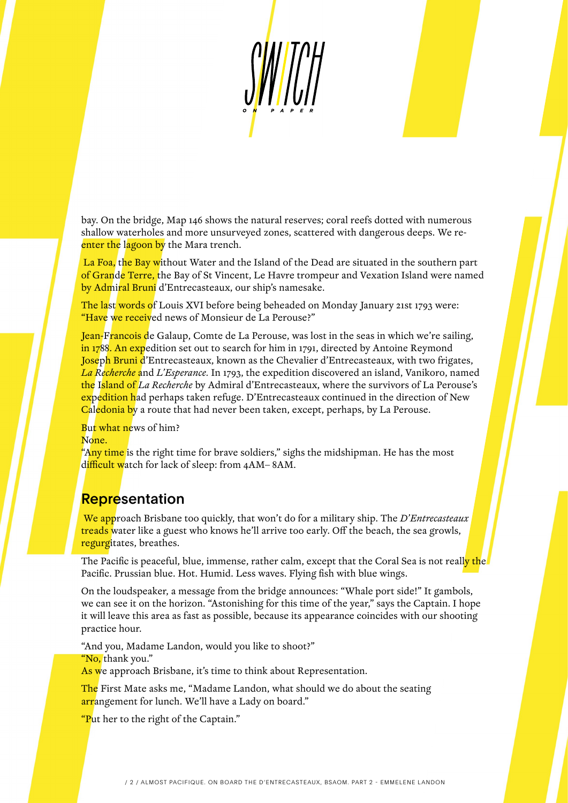

bay. On the bridge, Map 146 shows the natural reserves; coral reefs dotted with numerous shallow waterholes and more unsurveyed zones, scattered with dangerous deeps. We reenter the lagoon by the Mara trench.

 La Foa, the Bay without Water and the Island of the Dead are situated in the southern part of Grande Terre, the Bay of St Vincent, Le Havre trompeur and Vexation Island were named by Admiral Bruni d'Entrecasteaux, our ship's namesake.

The last words of Louis XVI before being beheaded on Monday January 21st 1793 were: "Have we received news of Monsieur de La Perouse?"

Jean-Francois de Galaup, Comte de La Perouse, was lost in the seas in which we're sailing, in 1788. An expedition set out to search for him in 1791, directed by Antoine Reymond Joseph Bruni d'Entrecasteaux, known as the Chevalier d'Entrecasteaux, with two frigates, *La Recherche* and *L'Esperance.* In 1793, the expedition discovered an island, Vanikoro, named the Island of *La Recherche* by Admiral d'Entrecasteaux, where the survivors of La Perouse's expedition had perhaps taken refuge. D'Entrecasteaux continued in the direction of New Caledonia by a route that had never been taken, except, perhaps, by La Perouse.

But what news of him? None.

"Any time is the right time for brave soldiers," sighs the midshipman. He has the most difficult watch for lack of sleep: from 4AM–8AM.

### **Representation**

 We approach Brisbane too quickly, that won't do for a military ship. The *D'Entrecasteaux* treads water like a guest who knows he'll arrive too early. Off the beach, the sea growls, regurgitates, breathes.

The Pacific is peaceful, blue, immense, rather calm, except that the Coral Sea is not really the Pacific. Prussian blue. Hot. Humid. Less waves. Flying fish with blue wings.

On the loudspeaker, a message from the bridge announces: "Whale port side!" It gambols, we can see it on the horizon. "Astonishing for this time of the year," says the Captain. I hope it will leave this area as fast as possible, because its appearance coincides with our shooting practice hour.

"And you, Madame Landon, would you like to shoot?" "No, thank you." As we approach Brisbane, it's time to think about Representation.

The First Mate asks me, "Madame Landon, what should we do about the seating

arrangement for lunch. We'll have a Lady on board."

"Put her to the right of the Captain."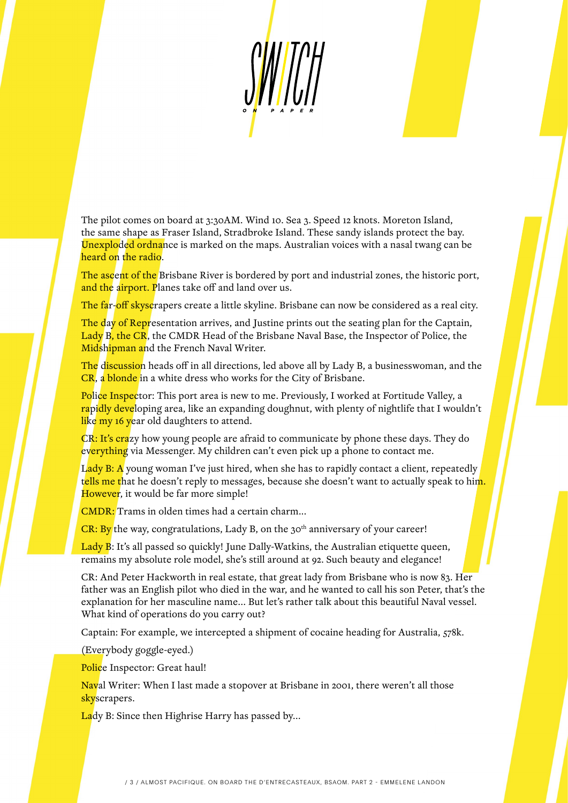WII

The pilot comes on board at 3:30AM. Wind 10. Sea 3. Speed 12 knots. Moreton Island, the same shape as Fraser Island, Stradbroke Island. These sandy islands protect the bay. Unexploded ordnance is marked on the maps. Australian voices with a nasal twang can be heard on the radio.

The ascent of the Brisbane River is bordered by port and industrial zones, the historic port, and the airport. Planes take off and land over us.

The far-off skyscrapers create a little skyline. Brisbane can now be considered as a real city.

The day of Representation arrives, and Justine prints out the seating plan for the Captain, Lady B, the CR, the CMDR Head of the Brisbane Naval Base, the Inspector of Police, the Midshipman and the French Naval Writer.

The discussion heads off in all directions, led above all by Lady B, a businesswoman, and the CR, a blonde in a white dress who works for the City of Brisbane.

Police Inspector: This port area is new to me. Previously, I worked at Fortitude Valley, a <mark>ra</mark>pi<mark>dly deve</mark>loping area, like an expanding doughnut, with plenty of nightlife that I wouldn't like my 16 year old daughters to attend.

CR: It's crazy how young people are afraid to communicate by phone these days. They do everything via Messenger. My children can't even pick up a phone to contact me.

L<mark>ady B: A</mark> young woman I've just hired, when she has to rapidly contact a client, repeatedly tells me that he doesn't reply to messages, because she doesn't want to actually speak to him. However, it would be far more simple!

CMDR: Trams in olden times had a certain charm...

 $CR: By$  the way, congratulations, Lady B, on the 30<sup>th</sup> anniversary of your career!

Lady B: It's all passed so quickly! June Dally-Watkins, the Australian etiquette queen, remains my absolute role model, she's still around at 92. Such beauty and elegance!

CR: And Peter Hackworth in real estate, that great lady from Brisbane who is now 83. Her father was an English pilot who died in the war, and he wanted to call his son Peter, that's the explanation for her masculine name... But let's rather talk about this beautiful Naval vessel. What kind of operations do you carry out?

Captain: For example, we intercepted a shipment of cocaine heading for Australia, 578k.

(Everybody goggle-eyed.)

Police Inspector: Great haul!

Naval Writer: When I last made a stopover at Brisbane in 2001, there weren't all those skyscrapers.

Lady B: Since then Highrise Harry has passed by...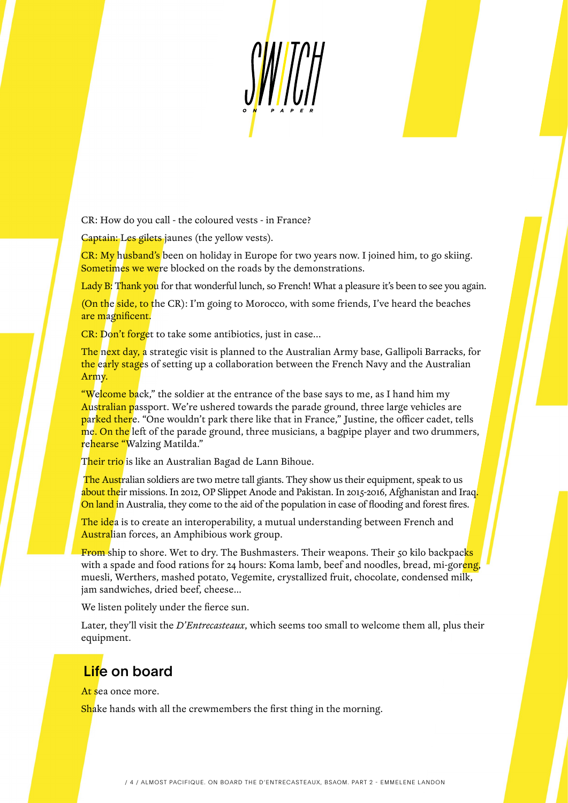$\frac{1}{2}$ 

CR: How do you call - the coloured vests - in France?

Captain: Les gilets jaunes (the yellow vests).

CR: My husband's been on holiday in Europe for two years now. I joined him, to go skiing. Sometimes we were blocked on the roads by the demonstrations.

Lady B: Thank you for that wonderful lunch, so French! What a pleasure it's been to see you again.

(On the side, to the CR): I'm going to Morocco, with some friends, I've heard the beaches are magnificent.

CR: Don't forget to take some antibiotics, just in case...

The next day, a strategic visit is planned to the Australian Army base, Gallipoli Barracks, for the early stages of setting up a collaboration between the French Navy and the Australian Army.

**"Welcome ba**ck," the soldier at the entrance of the base says to me, as I hand him my Australian passport. We're ushered towards the parade ground, three large vehicles are parked there. "One wouldn't park there like that in France," Justine, the officer cadet, tells me. On the left of the parade ground, three musicians, a bagpipe player and two drummers, rehearse "Walzing Matilda."

Their trio is like an Australian Bagad de Lann Bihoue.

The Australian soldiers are two metre tall giants. They show us their equipment, speak to us about their missions. In 2012, OP Slippet Anode and Pakistan. In 2015-2016, Afghanistan and Iraq. On land in Australia, they come to the aid of the population in case of flooding and forest fires.

The idea is to create an interoperability, a mutual understanding between French and Australian forces, an Amphibious work group.

From ship to shore. Wet to dry. The Bushmasters. Their weapons. Their 50 kilo backpacks with a spade and food rations for 24 hours: Koma lamb, beef and noodles, bread, mi-goreng, muesli, Werthers, mashed potato, Vegemite, crystallized fruit, chocolate, condensed milk, jam sandwiches, dried beef, cheese…

We listen politely under the fierce sun.

Later, they'll visit the *D'Entrecasteaux*, which seems too small to welcome them all, plus their equipment.

## Life on board

At sea once more.

**Shake hands with all the crewmembers the first thing in the morning.**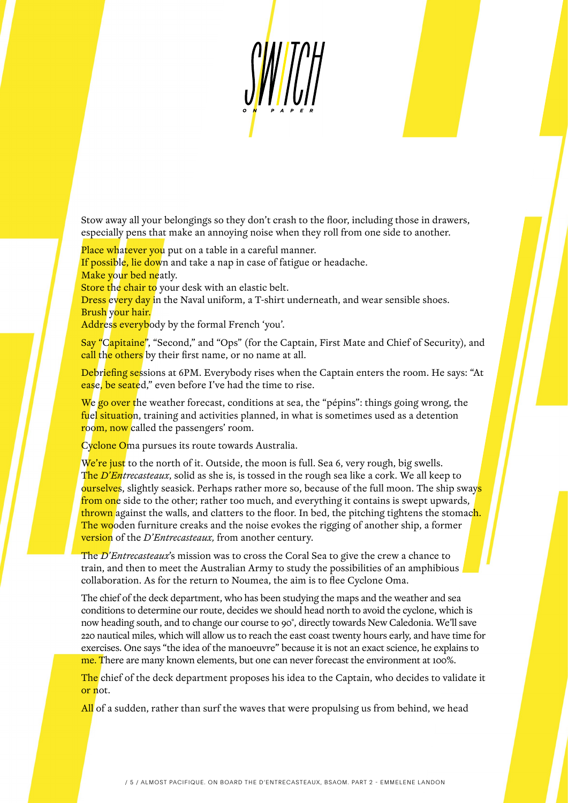Stow away all your belongings so they don't crash to the floor, including those in drawers, especially pens that make an annoying noise when they roll from one side to another.

Place whatever you put on a table in a careful manner. If possible, lie down and take a nap in case of fatigue or headache. Make your bed neatly.

Store the chair to your desk with an elastic belt.

Dress every day in the Naval uniform, a T-shirt underneath, and wear sensible shoes. Brush your hair.

Address everybody by the formal French 'you'.

Say "Capitaine", "Second," and "Ops" (for the Captain, First Mate and Chief of Security), and call the others by their first name, or no name at all.

Debriefing sessions at 6PM. Everybody rises when the Captain enters the room. He says: "At ease, be seated," even before I've had the time to rise.

We go over the weather forecast, conditions at sea, the "pépins": things going wrong, the fuel situation, training and activities planned, in what is sometimes used as a detention room, now called the passengers' room.

Cyclone Oma pursues its route towards Australia.

We're just to the north of it. Outside, the moon is full. Sea 6, very rough, big swells. The *D'Entrecasteaux*, solid as she is, is tossed in the rough sea like a cork. We all keep to ourselves, slightly seasick. Perhaps rather more so, because of the full moon. The ship sways from one side to the other; rather too much, and everything it contains is swept upwards, thrown against the walls, and clatters to the floor. In bed, the pitching tightens the stomach. The wooden furniture creaks and the noise evokes the rigging of another ship, a former version of the *D'Entrecasteaux,* from another century.

The *D'Entrecasteaux*'s mission was to cross the Coral Sea to give the crew a chance to train, and then to meet the Australian Army to study the possibilities of an amphibious collaboration. As for the return to Noumea, the aim is to flee Cyclone Oma.

The chief of the deck department, who has been studying the maps and the weather and sea conditions to determine our route, decides we should head north to avoid the cyclone, which is now heading south, and to change our course to 90°, directly towards New Caledonia. We'll save 220 nautical miles, which will allow us to reach the east coast twenty hours early, and have time for exercises. One says "the idea of the manoeuvre" because it is not an exact science, he explains to me. There are many known elements, but one can never forecast the environment at 100%.

The chief of the deck department proposes his idea to the Captain, who decides to validate it or not.

All of a sudden, rather than surf the waves that were propulsing us from behind, we head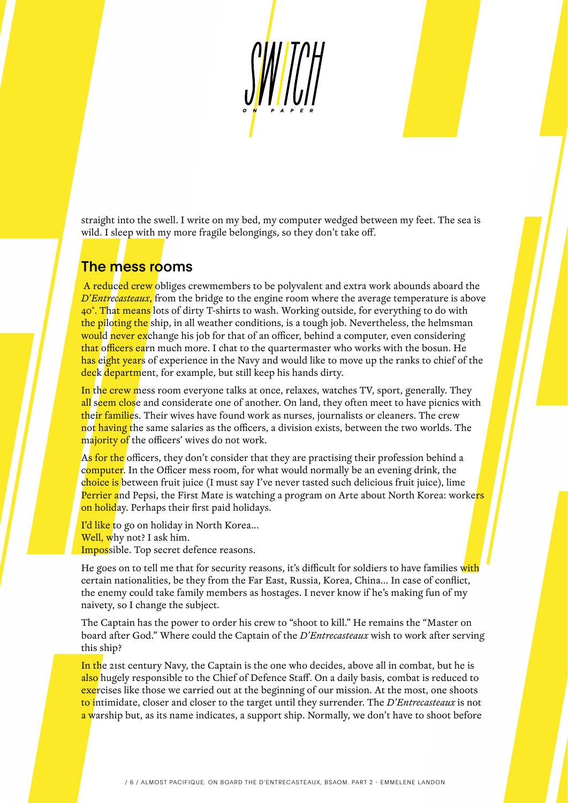

straight into the swell. I write on my bed, my computer wedged between my feet. The sea is wild. I sleep with my more fragile belongings, so they don't take off.

### The mess rooms

A reduced crew obliges crewmembers to be polyvalent and extra work abounds aboard the *D'Entrecasteaux*, from the bridge to the engine room where the average temperature is above 40°. That means lots of dirty T-shirts to wash. Working outside, for everything to do with the piloting the ship, in all weather conditions, is a tough job. Nevertheless, the helmsman would never exchange his job for that of an officer, behind a computer, even considering that officers earn much more. I chat to the quartermaster who works with the bosun. He has eight years of experience in the Navy and would like to move up the ranks to chief of the deck department, for example, but still keep his hands dirty.

In the crew mess room everyone talks at once, relaxes, watches TV, sport, generally. They all seem close and considerate one of another. On land, they often meet to have picnics with their families. Their wives have found work as nurses, journalists or cleaners. The crew not having the same salaries as the officers, a division exists, between the two worlds. The majority of the officers' wives do not work.

As for the officers, they don't consider that they are practising their profession behind a computer. In the Officer mess room, for what would normally be an evening drink, the choice is between fruit juice (I must say I've never tasted such delicious fruit juice), lime Perrier and Pepsi, the First Mate is watching a program on Arte about North Korea: worke<mark>rs</mark> on holiday. Perhaps their first paid holidays.

I'd like to go on holiday in North Korea... Well, why not? I ask him. Impossible. Top secret defence reasons.

He goes on to tell me that for security reasons, it's difficult for soldiers to have families with certain nationalities, be they from the Far East, Russia, Korea, China… In case of conflict, the enemy could take family members as hostages. I never know if he's making fun of my naivety, so I change the subject.

The Captain has the power to order his crew to "shoot to kill." He remains the "Master on board after God." Where could the Captain of the *D'Entrecasteaux* wish to work after serving this ship?

In the 21st century Navy, the Captain is the one who decides, above all in combat, but he is also hugely responsible to the Chief of Defence Staff. On a daily basis, combat is reduced to exercises like those we carried out at the beginning of our mission. At the most, one shoots to intimidate, closer and closer to the target until they surrender. The *D'Entrecasteaux* is not a warship but, as its name indicates, a support ship. Normally, we don't have to shoot before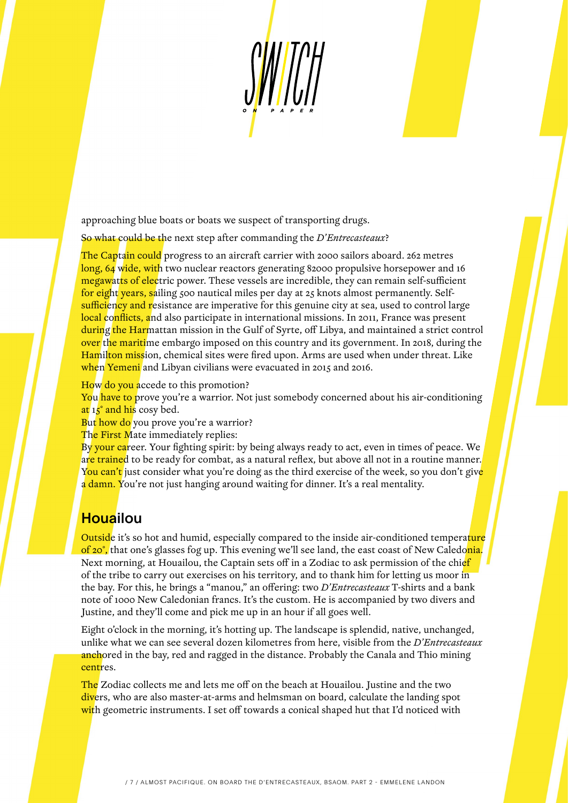SWII

approaching blue boats or boats we suspect of transporting drugs.

So what could be the next step after commanding the *D'Entrecasteaux*?

The Captain could progress to an aircraft carrier with 2000 sailors aboard. 262 metres long, 64 wide, with two nuclear reactors generating 82000 propulsive horsepower and 16 megawatts of electric power. These vessels are incredible, they can remain self-sufficient for eight years, sailing 500 nautical miles per day at 25 knots almost permanently. Selfsufficiency and resistance are imperative for this genuine city at sea, used to control large local conflicts, and also participate in international missions. In 2011, France was present during the Harmattan mission in the Gulf of Syrte, off Libya, and maintained a strict control over the maritime embargo imposed on this country and its government. In 2018, during the Hamilton mission, chemical sites were fired upon. Arms are used when under threat. Like when Yemeni and Libyan civilians were evacuated in 2015 and 2016.

How do you accede to this promotion?

You have to prove you're a warrior. Not just somebody concerned about his air-conditioning at 15° and his cosy bed.

But how do you prove you're a warrior?

The First Mate immediately replies:

By your career. Your fighting spirit: by being always ready to act, even in times of peace. We are trained to be ready for combat, as a natural reflex, but above all not in a routine manner. You can't just consider what you're doing as the third exercise of the week, so you don't give a damn. You're not just hanging around waiting for dinner. It's a real mentality.

### **Houailou**

Outside it's so hot and humid, especially compared to the inside air-conditioned temperature of 20°, that one's glasses fog up. This evening we'll see land, the east coast of New Caledonia. Next morning, at Houailou, the Captain sets off in a Zodiac to ask permission of the chief of the tribe to carry out exercises on his territory, and to thank him for letting us moor in the bay. For this, he brings a "manou," an offering: two *D'Entrecasteaux* T-shirts and a bank note of 1000 New Caledonian francs. It's the custom. He is accompanied by two divers and Justine, and they'll come and pick me up in an hour if all goes well.

Eight o'clock in the morning, it's hotting up. The landscape is splendid, native, unchanged, unlike what we can see several dozen kilometres from here, visible from the *D'Entrecasteaux* anchored in the bay, red and ragged in the distance. Probably the Canala and Thio mining centres.

The Zodiac collects me and lets me off on the beach at Houailou. Justine and the two divers, who are also master-at-arms and helmsman on board, calculate the landing spot with geometric instruments. I set off towards a conical shaped hut that I'd noticed with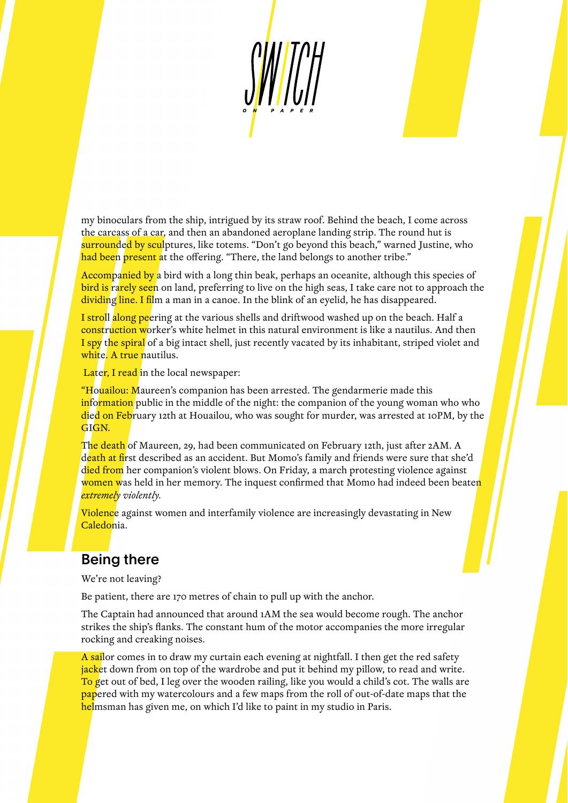my binoculars from the ship, intrigued by its straw roof. Behind the beach, I come across the carcass of a car, and then an abandoned aeroplane landing strip. The round hut is surrounded by sculptures, like totems. "Don't go beyond this beach," warned Justine, who had been present at the offering. "There, the land belongs to another tribe."

Accompanied by a bird with a long thin beak, perhaps an oceanite, although this species of bird is rarely seen on land, preferring to live on the high seas, I take care not to approach the dividing line. I film a man in a canoe. In the blink of an eyelid, he has disappeared.

I stroll along peering at the various shells and driftwood washed up on the beach. Half a construction worker's white helmet in this natural environment is like a nautilus. And then I spy the spiral of a big intact shell, just recently vacated by its inhabitant, striped violet and white. A true nautilus.

Later, I read in the local newspaper:

"Houailou: Maureen's companion has been arrested. The gendarmerie made this information public in the middle of the night: the companion of the young woman who who died on February 12th at Houailou, who was sought for murder, was arrested at 10PM, by the GIGN.

The death of Maureen, 29, had been communicated on February 12th, just after 2AM. A death at first described as an accident. But Momo's family and friends were sure that she'd died from her companion's violent blows. On Friday, a march protesting violence against women was held in her memory. The inquest confirmed that Momo had indeed been beaten *extremely violently.*

Violence against women and interfamily violence are increasingly devastating in New Caledonia.

### Being there

We're not leaving?

Be patient, there are 170 metres of chain to pull up with the anchor.

The Captain had announced that around 1AM the sea would become rough. The anchor strikes the ship's flanks. The constant hum of the motor accompanies the more irregular rocking and creaking noises.

A sailor comes in to draw my curtain each evening at nightfall. I then get the red safety jacket down from on top of the wardrobe and put it behind my pillow, to read and write. To get out of bed, I leg over the wooden railing, like you would a child's cot. The walls are papered with my watercolours and a few maps from the roll of out-of-date maps that the helmsman has given me, on which I'd like to paint in my studio in Paris.